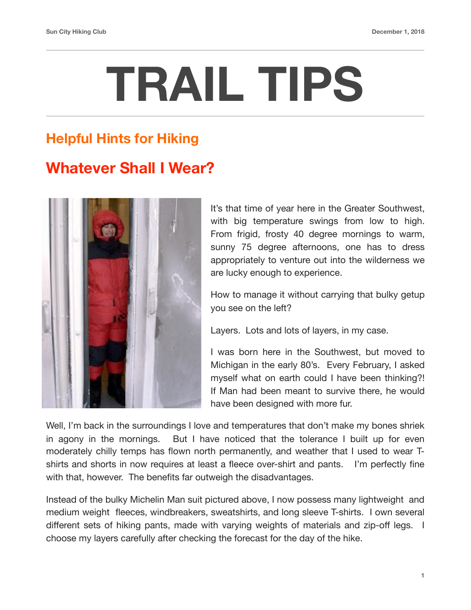## **TRAIL TIPS**

## **Helpful Hints for Hiking**

## **Whatever Shall I Wear?**



It's that time of year here in the Greater Southwest, with big temperature swings from low to high. From frigid, frosty 40 degree mornings to warm, sunny 75 degree afternoons, one has to dress appropriately to venture out into the wilderness we are lucky enough to experience.

How to manage it without carrying that bulky getup you see on the left?

Layers. Lots and lots of layers, in my case.

I was born here in the Southwest, but moved to Michigan in the early 80's. Every February, I asked myself what on earth could I have been thinking?! If Man had been meant to survive there, he would have been designed with more fur.

Well, I'm back in the surroundings I love and temperatures that don't make my bones shriek in agony in the mornings. But I have noticed that the tolerance I built up for even moderately chilly temps has flown north permanently, and weather that I used to wear Tshirts and shorts in now requires at least a fleece over-shirt and pants. I'm perfectly fine with that, however. The benefits far outweigh the disadvantages.

Instead of the bulky Michelin Man suit pictured above, I now possess many lightweight and medium weight fleeces, windbreakers, sweatshirts, and long sleeve T-shirts. I own several different sets of hiking pants, made with varying weights of materials and zip-off legs. I choose my layers carefully after checking the forecast for the day of the hike.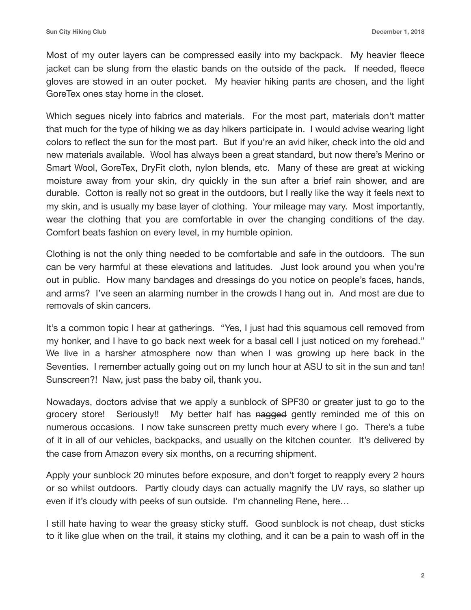Most of my outer layers can be compressed easily into my backpack. My heavier fleece jacket can be slung from the elastic bands on the outside of the pack. If needed, fleece gloves are stowed in an outer pocket. My heavier hiking pants are chosen, and the light GoreTex ones stay home in the closet.

Which segues nicely into fabrics and materials. For the most part, materials don't matter that much for the type of hiking we as day hikers participate in. I would advise wearing light colors to reflect the sun for the most part. But if you're an avid hiker, check into the old and new materials available. Wool has always been a great standard, but now there's Merino or Smart Wool, GoreTex, DryFit cloth, nylon blends, etc. Many of these are great at wicking moisture away from your skin, dry quickly in the sun after a brief rain shower, and are durable. Cotton is really not so great in the outdoors, but I really like the way it feels next to my skin, and is usually my base layer of clothing. Your mileage may vary. Most importantly, wear the clothing that you are comfortable in over the changing conditions of the day. Comfort beats fashion on every level, in my humble opinion.

Clothing is not the only thing needed to be comfortable and safe in the outdoors. The sun can be very harmful at these elevations and latitudes. Just look around you when you're out in public. How many bandages and dressings do you notice on people's faces, hands, and arms? I've seen an alarming number in the crowds I hang out in. And most are due to removals of skin cancers.

It's a common topic I hear at gatherings. "Yes, I just had this squamous cell removed from my honker, and I have to go back next week for a basal cell I just noticed on my forehead." We live in a harsher atmosphere now than when I was growing up here back in the Seventies. I remember actually going out on my lunch hour at ASU to sit in the sun and tan! Sunscreen?! Naw, just pass the baby oil, thank you.

Nowadays, doctors advise that we apply a sunblock of SPF30 or greater just to go to the grocery store! Seriously!! My better half has nagged gently reminded me of this on numerous occasions. I now take sunscreen pretty much every where I go. There's a tube of it in all of our vehicles, backpacks, and usually on the kitchen counter. It's delivered by the case from Amazon every six months, on a recurring shipment.

Apply your sunblock 20 minutes before exposure, and don't forget to reapply every 2 hours or so whilst outdoors. Partly cloudy days can actually magnify the UV rays, so slather up even if it's cloudy with peeks of sun outside. I'm channeling Rene, here…

I still hate having to wear the greasy sticky stuff. Good sunblock is not cheap, dust sticks to it like glue when on the trail, it stains my clothing, and it can be a pain to wash off in the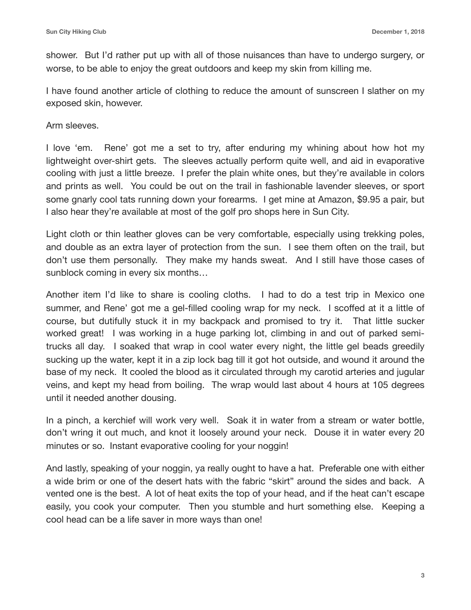shower. But I'd rather put up with all of those nuisances than have to undergo surgery, or worse, to be able to enjoy the great outdoors and keep my skin from killing me.

I have found another article of clothing to reduce the amount of sunscreen I slather on my exposed skin, however.

Arm sleeves.

I love 'em. Rene' got me a set to try, after enduring my whining about how hot my lightweight over-shirt gets. The sleeves actually perform quite well, and aid in evaporative cooling with just a little breeze. I prefer the plain white ones, but they're available in colors and prints as well. You could be out on the trail in fashionable lavender sleeves, or sport some gnarly cool tats running down your forearms. I get mine at Amazon, \$9.95 a pair, but I also hear they're available at most of the golf pro shops here in Sun City.

Light cloth or thin leather gloves can be very comfortable, especially using trekking poles, and double as an extra layer of protection from the sun. I see them often on the trail, but don't use them personally. They make my hands sweat. And I still have those cases of sunblock coming in every six months…

Another item I'd like to share is cooling cloths. I had to do a test trip in Mexico one summer, and Rene' got me a gel-filled cooling wrap for my neck. I scoffed at it a little of course, but dutifully stuck it in my backpack and promised to try it. That little sucker worked great! I was working in a huge parking lot, climbing in and out of parked semitrucks all day. I soaked that wrap in cool water every night, the little gel beads greedily sucking up the water, kept it in a zip lock bag till it got hot outside, and wound it around the base of my neck. It cooled the blood as it circulated through my carotid arteries and jugular veins, and kept my head from boiling. The wrap would last about 4 hours at 105 degrees until it needed another dousing.

In a pinch, a kerchief will work very well. Soak it in water from a stream or water bottle, don't wring it out much, and knot it loosely around your neck. Douse it in water every 20 minutes or so. Instant evaporative cooling for your noggin!

And lastly, speaking of your noggin, ya really ought to have a hat. Preferable one with either a wide brim or one of the desert hats with the fabric "skirt" around the sides and back. A vented one is the best. A lot of heat exits the top of your head, and if the heat can't escape easily, you cook your computer. Then you stumble and hurt something else. Keeping a cool head can be a life saver in more ways than one!